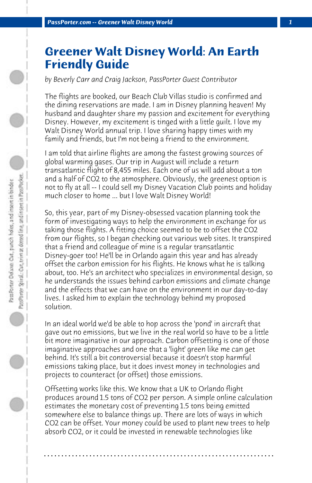## **Greener Walt Disney World: An Earth Friendly Guide**

*by Beverly Carr and Craig Jackson, PassPorter Guest Contributor*

The flights are booked, our Beach Club Villas studio is confirmed and the dining reservations are made. I am in Disney planning heaven! My husband and daughter share my passion and excitement for everything Disney. However, my excitement is tinged with a little guilt. I love my Walt Disney World annual trip. I love sharing happy times with my family and friends, but I'm not being a friend to the environment.

I am told that airline flights are among the fastest growing sources of global warming gases. Our trip in August will include a return transatlantic flight of 8,455 miles. Each one of us will add about a ton and a half of CO2 to the atmosphere. Obviously, the greenest option is not to fly at all -- I could sell my Disney Vacation Club points and holiday much closer to home ... but I love Walt Disney World!

So, this year, part of my Disney-obsessed vacation planning took the form of investigating ways to help the environment in exchange for us taking those flights. A fitting choice seemed to be to offset the CO2 from our flights, so I began checking out various web sites. It transpired that a friend and colleague of mine is a regular transatlantic Disney-goer too! He'll be in Orlando again this year and has already offset the carbon emission for his flights. He knows what he is talking about, too. He's an architect who specializes in environmental design, so he understands the issues behind carbon emissions and climate change and the effects that we can have on the environment in our day-to-day lives. I asked him to explain the technology behind my proposed solution.

In an ideal world we'd be able to hop across the 'pond' in aircraft that gave out no emissions, but we live in the real world so have to be a little bit more imaginative in our approach. Carbon offsetting is one of those imaginative approaches and one that a 'light' green like me can get behind. It's still a bit controversial because it doesn't stop harmful emissions taking place, but it does invest money in technologies and projects to counteract (or offset) those emissions.

Offsetting works like this. We know that a UK to Orlando flight produces around 1.5 tons of CO2 per person. A simple online calculation estimates the monetary cost of preventing 1.5 tons being emitted somewhere else to balance things up. There are lots of ways in which CO2 can be offset. Your money could be used to plant new trees to help absorb CO2, or it could be invested in renewable technologies like

**. . . . . . . . . . . . . . . . . . . . . . . . . . . . . . . . . . . . . . . . . . . . . . . . . . . . . . . . . . . . . . . . . .**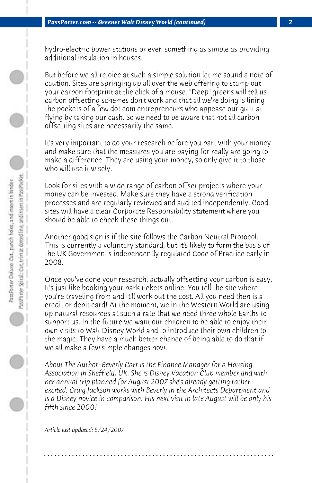hydro-electric power stations or even something as simple as providing additional insulation in houses.

But before we all rejoice at such a simple solution let me sound a note of caution. Sites are springing up all over the web offering to stamp out your carbon footprint at the click of a mouse. "Deep" greens will tell us carbon offsetting schemes don't work and that all we're doing is lining the pockets of a few dot com entrepreneurs who appease our guilt at flying by taking our cash. So we need to be aware that not all carbon offsetting sites are necessarily the same.

It's very important to do your research before you part with your money and make sure that the measures you are paying for really are going to make a difference. They are using your money, so only give it to those who will use it wisely.

Look for sites with a wide range of carbon offset projects where your money can be invested. Make sure they have a strong verification processes and are regularly reviewed and audited independently. Good sites will have a clear Corporate Responsibility statement where you should be able to check these things out.

Another good sign is if the site follows the Carbon Neutral Protocol. This is currently a voluntary standard, but it's likely to form the basis of the UK Government's independently regulated Code of Practice early in 2008.

Once you've done your research, actually offsetting your carbon is easy. It's just like booking your park tickets online. You tell the site where you're traveling from and it'll work out the cost. All you need then is a credit or debit card! At the moment, we in the Western World are using up natural resources at such a rate that we need three whole Earths to support us. In the future we want our children to be able to enjoy their own visits to Walt Disney World and to introduce their own children to the magic. They have a much better chance of being able to do that if we all make a few simple changes now.

*About The Author: Beverly Carr is the Finance Manager for a Housing Association in Sheffield, UK. She is Disney Vacation Club member and with her annual trip planned for August 2007 she's already getting rather excited. Craig Jackson works with Beverly in the Architects Department and is a Disney novice in comparison. His next visit in late August will be only his fifth since 2000!*

**. . . . . . . . . . . . . . . . . . . . . . . . . . . . . . . . . . . . . . . . . . . . . . . . . . . . . . . . . . . . . . . . . .**

*Article last updated: 5/24/2007*